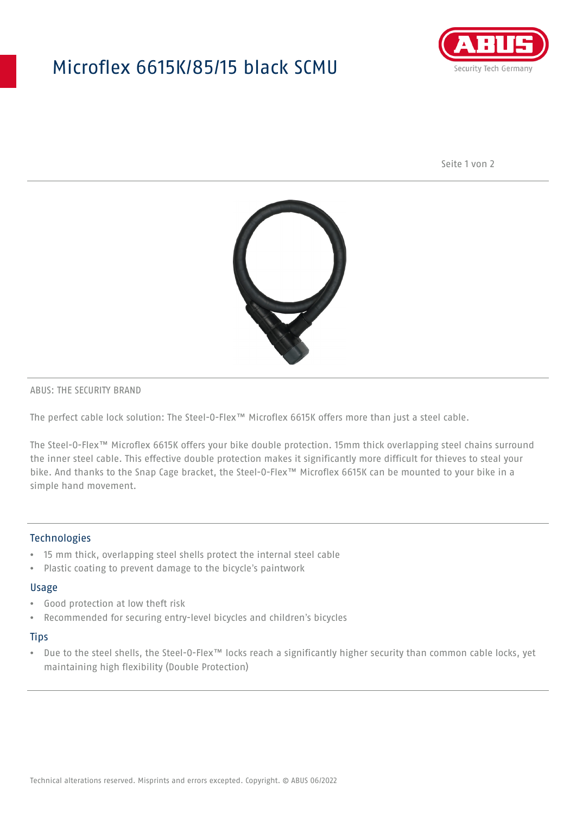## Microflex 6615K/85/15 black SCMU



Seite 1 von 2



#### ABUS: THE SECURITY BRAND

The perfect cable lock solution: The Steel-O-Flex™ Microflex 6615K offers more than just a steel cable.

The Steel-O-Flex™ Microflex 6615K offers your bike double protection. 15mm thick overlapping steel chains surround the inner steel cable. This effective double protection makes it significantly more difficult for thieves to steal your bike. And thanks to the Snap Cage bracket, the Steel-O-Flex™ Microflex 6615K can be mounted to your bike in a simple hand movement.

#### **Technologies**

- 15 mm thick, overlapping steel shells protect the internal steel cable
- Plastic coating to prevent damage to the bicycle's paintwork

#### Usage

- Good protection at low theft risk
- Recommended for securing entry-level bicycles and children's bicycles

#### **Tips**

• Due to the steel shells, the Steel-O-Flex™ locks reach a significantly higher security than common cable locks, yet maintaining high flexibility (Double Protection)